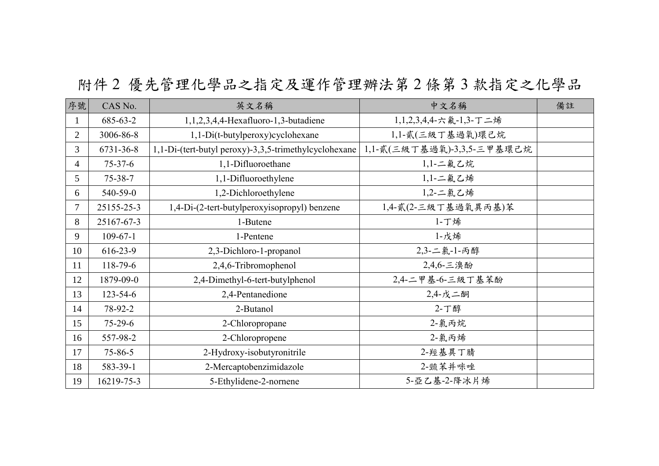## 附件 2 優先管理化學品之指定及運作管理辦法第 2 條第 3 款指定之化學品

| 序號             | CAS No.        | 英文名稱                                                  | 中文名稱                       | 備註 |
|----------------|----------------|-------------------------------------------------------|----------------------------|----|
| $\mathbf{1}$   | 685-63-2       | 1,1,2,3,4,4-Hexafluoro-1,3-butadiene                  | 1,1,2,3,4,4-六氟-1,3-丁二烯     |    |
| $\overline{2}$ | 3006-86-8      | 1,1-Di(t-butylperoxy)cyclohexane                      | 1,1-貳(三級丁基過氧)環己烷           |    |
| $\overline{3}$ | 6731-36-8      | 1,1-Di-(tert-butyl peroxy)-3,3,5-trimethylcyclohexane | 1,1-貳(三級丁基過氧)-3,3,5-三甲基環己烷 |    |
| $\overline{4}$ | $75 - 37 - 6$  | 1,1-Difluoroethane                                    | 1,1-二氟乙烷                   |    |
| 5              | $75 - 38 - 7$  | 1,1-Difluoroethylene                                  | 1,1-二氟乙烯                   |    |
| 6              | 540-59-0       | 1,2-Dichloroethylene                                  | 1,2-二氯乙烯                   |    |
| $\overline{7}$ | 25155-25-3     | 1,4-Di-(2-tert-butylperoxyisopropyl) benzene          | 1,4-貳(2-三級丁基過氧異丙基)苯        |    |
| 8              | 25167-67-3     | 1-Butene                                              | 1-丁烯                       |    |
| 9              | $109 - 67 - 1$ | 1-Pentene                                             | 1-戊烯                       |    |
| 10             | $616 - 23 - 9$ | 2,3-Dichloro-1-propanol                               | 2,3-二氯-1-丙醇                |    |
| 11             | 118-79-6       | 2,4,6-Tribromophenol                                  | 2,4,6-三溴酚                  |    |
| 12             | 1879-09-0      | 2,4-Dimethyl-6-tert-butylphenol                       | 2,4-二甲基-6-三級丁基苯酚           |    |
| 13             | $123 - 54 - 6$ | 2,4-Pentanedione                                      | 2,4-戊二酮                    |    |
| 14             | 78-92-2        | 2-Butanol                                             | 2-丁醇                       |    |
| 15             | $75 - 29 - 6$  | 2-Chloropropane                                       | 2-氯丙烷                      |    |
| 16             | 557-98-2       | 2-Chloropropene                                       | 2-氯丙烯                      |    |
| 17             | $75 - 86 - 5$  | 2-Hydroxy-isobutyronitrile                            | 2-羥基異丁腈                    |    |
| 18             | 583-39-1       | 2-Mercaptobenzimidazole                               | 2-巰苯并咪唑                    |    |
| 19             | 16219-75-3     | 5-Ethylidene-2-nornene                                | 5-亞乙基-2-降冰片烯               |    |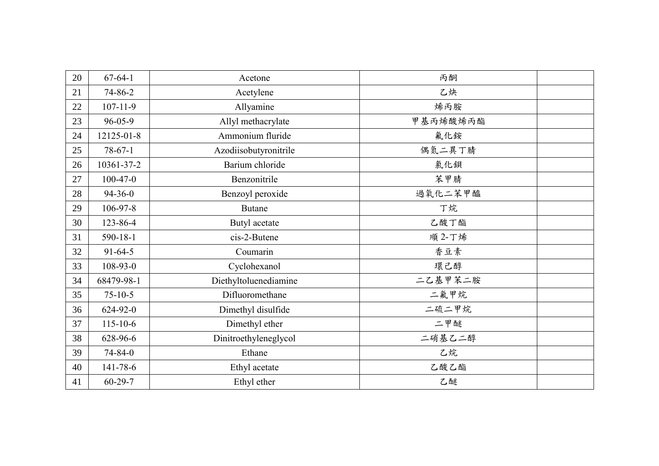| 20 | $67 - 64 - 1$  | Acetone               | 丙酮       |  |
|----|----------------|-----------------------|----------|--|
| 21 | 74-86-2        | Acetylene             | 乙炔       |  |
| 22 | $107 - 11 - 9$ | Allyamine             | 烯丙胺      |  |
| 23 | $96 - 05 - 9$  | Allyl methacrylate    | 甲基丙烯酸烯丙酯 |  |
| 24 | 12125-01-8     | Ammonium fluride      | 氟化銨      |  |
| 25 | $78-67-1$      | Azodiisobutyronitrile | 偶氮二異丁腈   |  |
| 26 | 10361-37-2     | Barium chloride       | 氯化鋇      |  |
| 27 | $100-47-0$     | Benzonitrile          | 苯甲腈      |  |
| 28 | $94 - 36 - 0$  | Benzoyl peroxide      | 過氧化二苯甲醯  |  |
| 29 | $106 - 97 - 8$ | <b>Butane</b>         | 丁烷       |  |
| 30 | 123-86-4       | Butyl acetate         | 乙酸丁酯     |  |
| 31 | $590 - 18 - 1$ | cis-2-Butene          | 順 2-丁烯   |  |
| 32 | $91 - 64 - 5$  | Coumarin              | 香豆素      |  |
| 33 | $108 - 93 - 0$ | Cyclohexanol          | 環己醇      |  |
| 34 | 68479-98-1     | Diethyltoluenediamine | 二乙基甲苯二胺  |  |
| 35 | $75 - 10 - 5$  | Difluoromethane       | 二氟甲烷     |  |
| 36 | $624 - 92 - 0$ | Dimethyl disulfide    | 二硫二甲烷    |  |
| 37 | $115 - 10 - 6$ | Dimethyl ether        | 二甲醚      |  |
| 38 | 628-96-6       | Dinitroethyleneglycol | 二硝基乙二醇   |  |
| 39 | 74-84-0        | Ethane                | 乙烷       |  |
| 40 | 141-78-6       | Ethyl acetate         | 乙酸乙酯     |  |
| 41 | $60 - 29 - 7$  | Ethyl ether           | 乙醚       |  |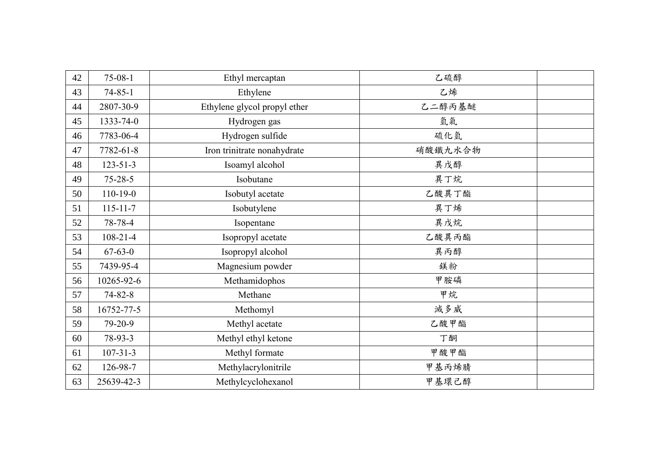| 42 | $75-08-1$      | Ethyl mercaptan              | 乙硫醇     |  |
|----|----------------|------------------------------|---------|--|
| 43 | $74 - 85 - 1$  | Ethylene                     | 乙烯      |  |
| 44 | 2807-30-9      | Ethylene glycol propyl ether | 乙二醇丙基醚  |  |
| 45 | 1333-74-0      | Hydrogen gas                 | 氫氣      |  |
| 46 | 7783-06-4      | Hydrogen sulfide             | 硫化氫     |  |
| 47 | 7782-61-8      | Iron trinitrate nonahydrate  | 硝酸鐵九水合物 |  |
| 48 | $123 - 51 - 3$ | Isoamyl alcohol              | 異戊醇     |  |
| 49 | $75 - 28 - 5$  | Isobutane                    | 異丁烷     |  |
| 50 | $110 - 19 - 0$ | Isobutyl acetate             | 乙酸異丁酯   |  |
| 51 | $115 - 11 - 7$ | Isobutylene                  | 異丁烯     |  |
| 52 | 78-78-4        | Isopentane                   | 異戊烷     |  |
| 53 | $108 - 21 - 4$ | Isopropyl acetate            | 乙酸異丙酯   |  |
| 54 | $67 - 63 - 0$  | Isopropyl alcohol            | 異丙醇     |  |
| 55 | 7439-95-4      | Magnesium powder             | 鎂粉      |  |
| 56 | 10265-92-6     | Methamidophos                | 甲胺磷     |  |
| 57 | $74 - 82 - 8$  | Methane                      | 甲烷      |  |
| 58 | 16752-77-5     | Methomyl                     | 滅多威     |  |
| 59 | 79-20-9        | Methyl acetate               | 乙酸甲酯    |  |
| 60 | 78-93-3        | Methyl ethyl ketone          | 丁酮      |  |
| 61 | $107 - 31 - 3$ | Methyl formate               | 甲酸甲酯    |  |
| 62 | 126-98-7       | Methylacrylonitrile          | 甲基丙烯腈   |  |
| 63 | 25639-42-3     | Methylcyclohexanol           | 甲基環己醇   |  |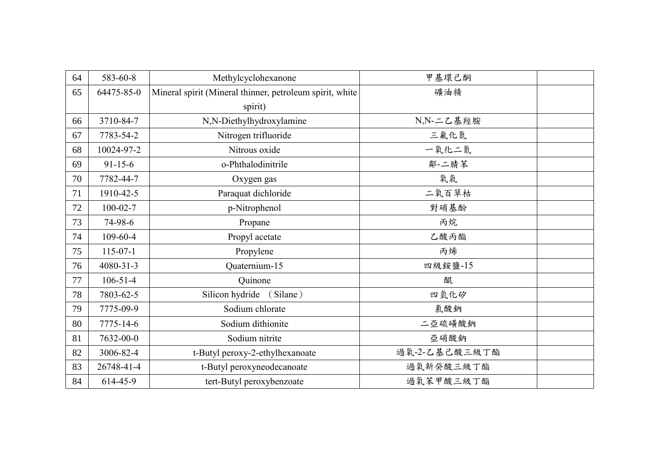| 64 | 583-60-8        | Methylcyclohexanone                                      | 甲基環己酮         |  |
|----|-----------------|----------------------------------------------------------|---------------|--|
| 65 | 64475-85-0      | Mineral spirit (Mineral thinner, petroleum spirit, white | 礦油精           |  |
|    |                 | spirit)                                                  |               |  |
| 66 | 3710-84-7       | N,N-Diethylhydroxylamine                                 | N,N-二乙基羥胺     |  |
| 67 | 7783-54-2       | Nitrogen trifluoride                                     | 三氟化氮          |  |
| 68 | 10024-97-2      | Nitrous oxide                                            | 一氧化二氮         |  |
| 69 | $91 - 15 - 6$   | o-Phthalodinitrile                                       | 鄰-二腈苯         |  |
| 70 | 7782-44-7       | Oxygen gas                                               | 氧氣            |  |
| 71 | 1910-42-5       | Paraquat dichloride                                      | 二氧百草枯         |  |
| 72 | $100 - 02 - 7$  | p-Nitrophenol                                            | 對硝基酚          |  |
| 73 | 74-98-6         | Propane                                                  | 丙烷            |  |
| 74 | 109-60-4        | Propyl acetate                                           | 乙酸丙酯          |  |
| 75 | $115-07-1$      | Propylene                                                | 丙烯            |  |
| 76 | $4080 - 31 - 3$ | Quaternium-15                                            | 四級銨鹽-15       |  |
| 77 | $106 - 51 - 4$  | Quinone                                                  | 醌             |  |
| 78 | 7803-62-5       | Silicon hydride<br>(Silane)                              | 四氫化矽          |  |
| 79 | 7775-09-9       | Sodium chlorate                                          | 氯酸鈉           |  |
| 80 | 7775-14-6       | Sodium dithionite                                        | 二亞硫磺酸鈉        |  |
| 81 | 7632-00-0       | Sodium nitrite                                           | 亞硝酸鈉          |  |
| 82 | 3006-82-4       | t-Butyl peroxy-2-ethylhexanoate                          | 過氧-2-乙基己酸三級丁酯 |  |
| 83 | 26748-41-4      | t-Butyl peroxyneodecanoate                               | 過氧新癸酸三級丁酯     |  |
| 84 | 614-45-9        | tert-Butyl peroxybenzoate                                | 過氧苯甲酸三級丁酯     |  |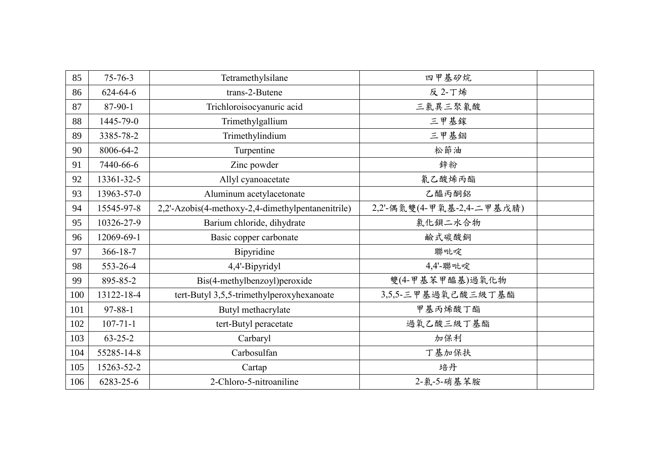| 85  | $75 - 76 - 3$  | Tetramethylsilane                                 | 四甲基矽烷                     |  |
|-----|----------------|---------------------------------------------------|---------------------------|--|
| 86  | $624 - 64 - 6$ | trans-2-Butene                                    | 反 2-丁烯                    |  |
| 87  | 87-90-1        | Trichloroisocyanuric acid                         | 三氯異三聚氰酸                   |  |
| 88  | 1445-79-0      | Trimethylgallium                                  | 三甲基鎵                      |  |
| 89  | 3385-78-2      | Trimethylindium                                   | 三甲基銦                      |  |
| 90  | 8006-64-2      | Turpentine                                        | 松節油                       |  |
| 91  | 7440-66-6      | Zinc powder                                       | 鋅粉                        |  |
| 92  | 13361-32-5     | Allyl cyanoacetate                                | 氰乙酸烯丙酯                    |  |
| 93  | 13963-57-0     | Aluminum acetylacetonate                          | 乙醯丙酮鋁                     |  |
| 94  | 15545-97-8     | 2,2'-Azobis(4-methoxy-2,4-dimethylpentanenitrile) | 2,2'-偶氮雙(4-甲氧基-2,4-二甲基戊腈) |  |
| 95  | 10326-27-9     | Barium chloride, dihydrate                        | 氯化鋇二水合物                   |  |
| 96  | 12069-69-1     | Basic copper carbonate                            | 鹼式碳酸銅                     |  |
| 97  | $366 - 18 - 7$ | Bipyridine                                        | 聯吡啶                       |  |
| 98  | 553-26-4       | 4,4'-Bipyridyl                                    | 4,4'-聯吡啶                  |  |
| 99  | 895-85-2       | Bis(4-methylbenzoyl)peroxide                      | 雙(4-甲基苯甲醯基)過氧化物           |  |
| 100 | 13122-18-4     | tert-Butyl 3,5,5-trimethylperoxyhexanoate         | 3,5,5-三甲基過氧己酸三級丁基酯        |  |
| 101 | $97 - 88 - 1$  | Butyl methacrylate                                | 甲基丙烯酸丁酯                   |  |
| 102 | $107 - 71 - 1$ | tert-Butyl peracetate                             | 過氧乙酸三級丁基酯                 |  |
| 103 | $63 - 25 - 2$  | Carbaryl                                          | 加保利                       |  |
| 104 | 55285-14-8     | Carbosulfan                                       | 丁基加保扶                     |  |
| 105 | 15263-52-2     | Cartap                                            | 培丹                        |  |
| 106 | 6283-25-6      | 2-Chloro-5-nitroaniline                           | 2-氯-5-硝基苯胺                |  |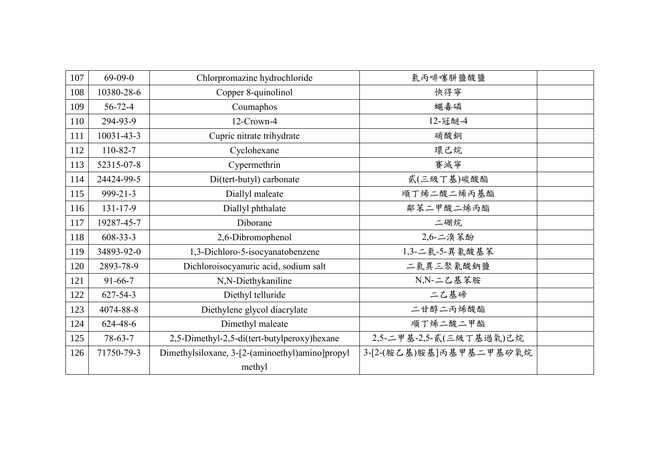| 107 | $69-09-0$      | Chlorpromazine hydrochloride                    | 氯丙啡噻胼鹽酸鹽                |  |
|-----|----------------|-------------------------------------------------|-------------------------|--|
| 108 | 10380-28-6     | Copper 8-quinolinol                             | 快得寧                     |  |
| 109 | $56 - 72 - 4$  | Coumaphos                                       | 蠅毒磷                     |  |
| 110 | 294-93-9       | 12-Crown-4                                      | 12-冠醚-4                 |  |
| 111 | 10031-43-3     | Cupric nitrate trihydrate                       | 硝酸銅                     |  |
| 112 | $110 - 82 - 7$ | Cyclohexane                                     | 環己烷                     |  |
| 113 | 52315-07-8     | Cypermethrin                                    | 賽滅寧                     |  |
| 114 | 24424-99-5     | Di(tert-butyl) carbonate                        | 貳(三級丁基)碳酸酯              |  |
| 115 | 999-21-3       | Diallyl maleate                                 | 順丁烯二酸二烯丙基酯              |  |
| 116 | $131 - 17 - 9$ | Diallyl phthalate                               | 鄰苯二甲酸二烯丙酯               |  |
| 117 | 19287-45-7     | Diborane                                        | 二硼烷                     |  |
| 118 | $608 - 33 - 3$ | 2,6-Dibromophenol                               | 2,6-二溴苯酚                |  |
| 119 | 34893-92-0     | 1,3-Dichloro-5-isocyanatobenzene                | 1,3-二氯-5-異氰酸基苯          |  |
| 120 | 2893-78-9      | Dichloroisocyanuric acid, sodium salt           | 二氯異三聚氰酸鈉鹽               |  |
| 121 | $91 - 66 - 7$  | N,N-Diethykaniline                              | N,N-二乙基苯胺               |  |
| 122 | $627 - 54 - 3$ | Diethyl telluride                               | 二乙基碲                    |  |
| 123 | 4074-88-8      | Diethylene glycol diacrylate                    | 二甘醇二丙烯酸酯                |  |
| 124 | 624-48-6       | Dimethyl maleate                                | 順丁烯二酸二甲酯                |  |
| 125 | $78-63-7$      | 2,5-Dimethyl-2,5-di(tert-butylperoxy)hexane     | 2,5-二甲基-2,5-貳(三級丁基過氧)己烷 |  |
| 126 | 71750-79-3     | Dimethylsiloxane, 3-[2-(aminoethyl)amino]propyl | 3-[2-(胺乙基)胺基]丙基甲基二甲基矽氧烷 |  |
|     |                | methyl                                          |                         |  |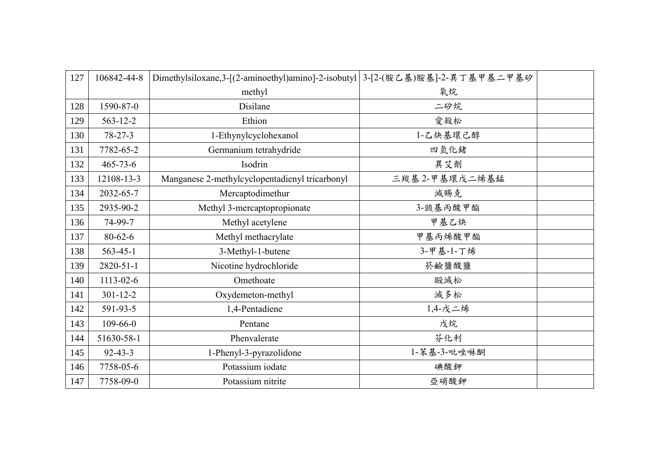| 127 | 106842-44-8     | Dimethylsiloxane,3-[(2-aminoethyl)amino]-2-isobutyl 3-[2-(胺乙基)胺基]-2-異丁基甲基二甲基矽 |                |  |
|-----|-----------------|-------------------------------------------------------------------------------|----------------|--|
|     |                 | methyl                                                                        | 氧烷             |  |
| 128 | 1590-87-0       | Disilane                                                                      | 二矽烷            |  |
| 129 | $563 - 12 - 2$  | Ethion                                                                        | 愛殺松            |  |
| 130 | $78 - 27 - 3$   | 1-Ethynylcyclohexanol                                                         | 1-乙炔基環己醇       |  |
| 131 | 7782-65-2       | Germanium tetrahydride                                                        | 四氫化緒           |  |
| 132 | $465 - 73 - 6$  | Isodrin                                                                       | 異艾劑            |  |
| 133 | 12108-13-3      | Manganese 2-methylcyclopentadienyl tricarbonyl                                | 三羰基 2-甲基環戊二烯基錳 |  |
| 134 | 2032-65-7       | Mercaptodimethur                                                              | 滅賜克            |  |
| 135 | 2935-90-2       | Methyl 3-mercaptopropionate                                                   | 3-巰基丙酸甲酯       |  |
| 136 | 74-99-7         | Methyl acetylene                                                              | 甲基乙炔           |  |
| 137 | $80 - 62 - 6$   | Methyl methacrylate                                                           | 甲基丙烯酸甲酯        |  |
| 138 | $563 - 45 - 1$  | 3-Methyl-1-butene                                                             | 3-甲基-1-丁烯      |  |
| 139 | $2820 - 51 - 1$ | Nicotine hydrochloride                                                        | 菸鹼鹽酸鹽          |  |
| 140 | $1113 - 02 - 6$ | Omethoate                                                                     | 毆滅松            |  |
| 141 | $301 - 12 - 2$  | Oxydemeton-methyl                                                             | 滅多松            |  |
| 142 | 591-93-5        | 1,4-Pentadiene                                                                | 1,4-戊二烯        |  |
| 143 | $109 - 66 - 0$  | Pentane                                                                       | 戊烷             |  |
| 144 | 51630-58-1      | Phenvalerate                                                                  | 芬化利            |  |
| 145 | $92 - 43 - 3$   | 1-Phenyl-3-pyrazolidone                                                       | 1-苯基-3-吡唑啉酮    |  |
| 146 | 7758-05-6       | Potassium iodate                                                              | 碘酸鉀            |  |
| 147 | 7758-09-0       | Potassium nitrite                                                             | 亞硝酸鉀           |  |